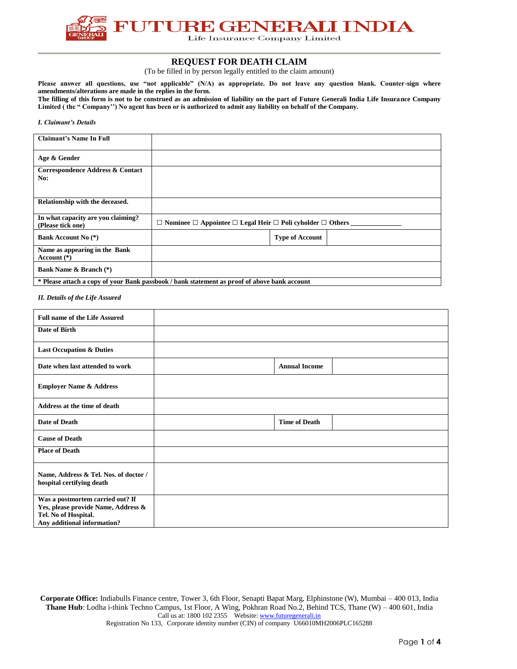

# **REQUEST FOR DEATH CLAIM**

(To be filled in by person legally entitled to the claim amount)

**Please answer all questions, use "not applicable" (N/A) as appropriate. Do not leave any question blank. Counter-sign where amendments/alterations are made in the replies in the form.**

**The filling of this form is not to be construed as an admission of liability on the part of Future Generali India Life Insurance Company Limited ( the " Company'') No agent has been or is authorized to admit any liability on behalf of the Company.**

### *I. Claimant's Details*

| <b>Claimant's Name In Full</b>                          |                                                                                              |                        |
|---------------------------------------------------------|----------------------------------------------------------------------------------------------|------------------------|
| Age & Gender                                            |                                                                                              |                        |
| Correspondence Address & Contact<br>No:                 |                                                                                              |                        |
| Relationship with the deceased.                         |                                                                                              |                        |
| In what capacity are you claiming?<br>(Please tick one) | $\Box$ Nominee $\Box$ Appointee $\Box$ Legal Heir $\Box$ Poli cyholder $\Box$ Others         |                        |
| <b>Bank Account No (*)</b>                              |                                                                                              | <b>Type of Account</b> |
| Name as appearing in the Bank<br>Account $(*)$          |                                                                                              |                        |
| <b>Bank Name &amp; Branch</b> (*)                       |                                                                                              |                        |
|                                                         | * Please attach a copy of your Bank passbook / bank statement as proof of above bank account |                        |

*II. Details of the Life Assured*

| <b>Full name of the Life Assured</b>                                                                                           |                      |  |
|--------------------------------------------------------------------------------------------------------------------------------|----------------------|--|
| Date of Birth                                                                                                                  |                      |  |
| <b>Last Occupation &amp; Duties</b>                                                                                            |                      |  |
| Date when last attended to work                                                                                                | <b>Annual Income</b> |  |
| <b>Employer Name &amp; Address</b>                                                                                             |                      |  |
| Address at the time of death                                                                                                   |                      |  |
| Date of Death                                                                                                                  | <b>Time of Death</b> |  |
| <b>Cause of Death</b>                                                                                                          |                      |  |
| <b>Place of Death</b>                                                                                                          |                      |  |
| Name, Address & Tel. Nos. of doctor /<br>hospital certifying death                                                             |                      |  |
| Was a postmortem carried out? If<br>Yes, please provide Name, Address &<br>Tel. No of Hospital.<br>Any additional information? |                      |  |

**Corporate Office:** Indiabulls Finance centre, Tower 3, 6th Floor, Senapti Bapat Marg, Elphinstone (W), Mumbai – 400 013, India **Thane Hub**: Lodha i-think Techno Campus, 1st Floor, A Wing, Pokhran Road No.2, Behind TCS, Thane (W) – 400 601, India Call us at: 1800 102 2355 Website: www.futuregenerali.in Registration No 133, Corporate identity number (CIN) of company U66010MH2006PLC165288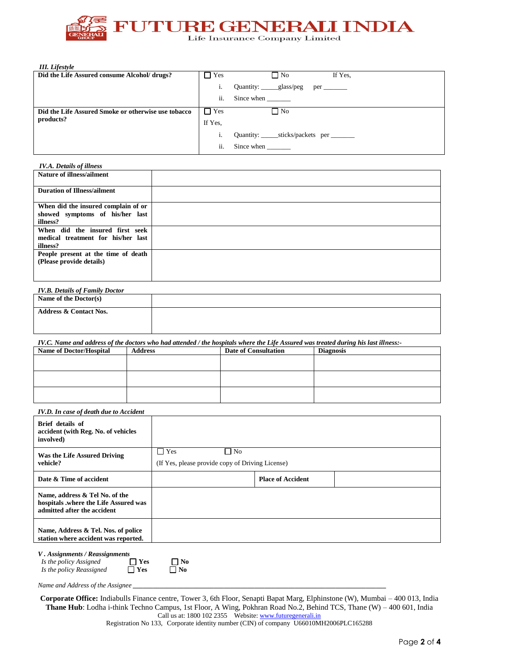

*III. Lifestyle*

*IV.A. Details of illness* 

| Did the Life Assured consume Alcohol/ drugs?        | $\Box$ Yes | $\Box$ No<br>If Yes,                             |
|-----------------------------------------------------|------------|--------------------------------------------------|
|                                                     | i.         |                                                  |
|                                                     | ii.        |                                                  |
| Did the Life Assured Smoke or otherwise use tobacco | $\Box$ Yes | $\Box$ No                                        |
| products?                                           | If Yes.    |                                                  |
|                                                     |            | Quantity: ________sticks/packets per ___________ |
|                                                     | ii.        | Since when                                       |

| IV.A. Details of litness            |  |
|-------------------------------------|--|
| <b>Nature of illness/ailment</b>    |  |
|                                     |  |
| <b>Duration of Illness/ailment</b>  |  |
|                                     |  |
| When did the insured complain of or |  |
| showed symptoms of his/her last     |  |
| illness?                            |  |
| When did the insured first seek     |  |
| medical treatment for his/her last  |  |
| illness?                            |  |
| People present at the time of death |  |
| (Please provide details)            |  |
|                                     |  |
|                                     |  |

| <b>IV.B. Details of Family Doctor</b> |  |
|---------------------------------------|--|
| Name of the Doctor(s)                 |  |
|                                       |  |
| <b>Address &amp; Contact Nos.</b>     |  |
|                                       |  |
|                                       |  |
|                                       |  |

*IV.C. Name and address of the doctors who had attended / the hospitals where the Life Assured was treated during his last illness:-*

| <b>Name of Doctor/Hospital</b> | <b>Address</b> | <b>Date of Consultation</b> | <b>Diagnosis</b> |
|--------------------------------|----------------|-----------------------------|------------------|
|                                |                |                             |                  |
|                                |                |                             |                  |
|                                |                |                             |                  |
|                                |                |                             |                  |
|                                |                |                             |                  |
|                                |                |                             |                  |

*IV.D. In case of death due to Accident*

| Brief details of<br>accident (with Reg. No. of vehicles<br>involved)                                   |                                                  |           |                          |  |
|--------------------------------------------------------------------------------------------------------|--------------------------------------------------|-----------|--------------------------|--|
| Was the Life Assured Driving                                                                           | $\Box$ Yes                                       | $\Box$ No |                          |  |
| vehicle?                                                                                               | (If Yes, please provide copy of Driving License) |           |                          |  |
| Date & Time of accident                                                                                |                                                  |           | <b>Place of Accident</b> |  |
| Name, address & Tel No. of the<br>hospitals .where the Life Assured was<br>admitted after the accident |                                                  |           |                          |  |
| Name, Address & Tel. Nos. of police<br>station where accident was reported.                            |                                                  |           |                          |  |

*V . Assignments / Reassignments*

| Is the policy Assigned   | $\Box$ Yes | $\Box$ No |
|--------------------------|------------|-----------|
| Is the policy Reassigned | $\Box$ Yes | $\Box$ No |

*Name and Address of the Assignee \_\_\_\_\_\_\_\_\_\_\_\_\_\_\_\_\_\_\_\_\_\_\_\_\_\_\_\_\_\_\_\_\_\_\_\_\_\_\_\_\_\_\_\_\_\_\_\_\_\_\_\_\_\_\_\_\_\_\_\_\_\_\_\_\_\_\_\_\_\_\_\_\_\_\_*

**Corporate Office:** Indiabulls Finance centre, Tower 3, 6th Floor, Senapti Bapat Marg, Elphinstone (W), Mumbai – 400 013, India **Thane Hub**: Lodha i-think Techno Campus, 1st Floor, A Wing, Pokhran Road No.2, Behind TCS, Thane (W) – 400 601, India Call us at: 1800 102 2355 Website: www.futuregenerali.in

Registration No 133, Corporate identity number (CIN) of company U66010MH2006PLC165288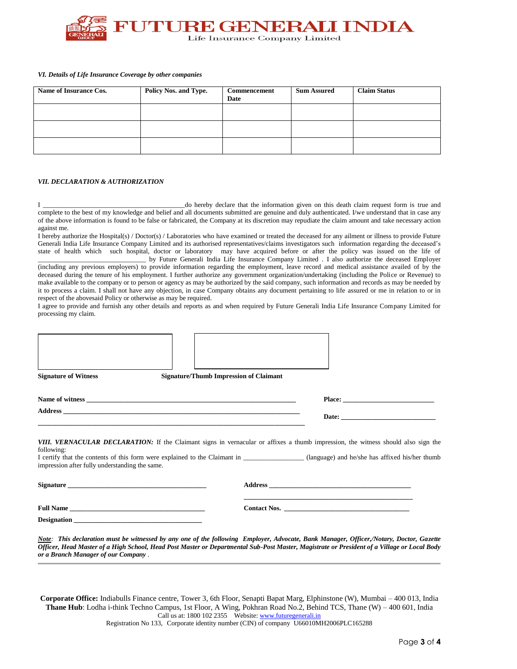

#### *VI. Details of Life Insurance Coverage by other companies*

| Name of Insurance Cos. | Policy Nos. and Type. | Commencement<br>Date | <b>Sum Assured</b> | <b>Claim Status</b> |
|------------------------|-----------------------|----------------------|--------------------|---------------------|
|                        |                       |                      |                    |                     |
|                        |                       |                      |                    |                     |
|                        |                       |                      |                    |                     |

#### *VII. DECLARATION & AUTHORIZATION*

**Designation \_\_\_\_\_\_\_\_\_\_\_\_\_\_\_\_\_\_\_\_\_\_\_\_\_\_\_\_\_\_\_\_\_\_\_\_\_\_**

I \_\_\_\_\_\_\_\_\_\_\_\_\_\_\_\_\_\_\_\_\_\_\_\_\_\_\_\_\_\_\_\_\_\_\_\_\_\_\_\_\_\_do hereby declare that the information given on this death claim request form is true and complete to the best of my knowledge and belief and all documents submitted are genuine and duly authenticated. I/we understand that in case any of the above information is found to be false or fabricated, the Company at its discretion may repudiate the claim amount and take necessary action against me.

I hereby authorize the Hospital(s) / Doctor(s) / Laboratories who have examined or treated the deceased for any ailment or illness to provide Future Generali India Life Insurance Company Limited and its authorised representatives/claims investigators such information regarding the deceased's state of health which such hospital, doctor or laboratory may have acquired before or after the policy was issued on the life of \_\_\_\_\_\_\_\_\_\_\_\_\_\_\_\_\_\_\_\_\_\_\_\_\_\_\_\_\_\_\_\_ by Future Generali India Life Insurance Company Limited . I also authorize the deceased Employer

(including any previous employers) to provide information regarding the employment, leave record and medical assistance availed of by the deceased during the tenure of his employment. I further authorize any government organization/undertaking (including the Police or Revenue) to make available to the company or to person or agency as may be authorized by the said company, such information and records as may be needed by it to process a claim. I shall not have any objection, in case Company obtains any document pertaining to life assured or me in relation to or in respect of the abovesaid Policy or otherwise as may be required.

I agree to provide and furnish any other details and reports as and when required by Future Generali India Life Insurance Company Limited for processing my claim.

| <b>Signature of Witness</b>                                  | <b>Signature/Thumb Impression of Claimant</b>                                                                      |                                                                                                                                                                                                                                                                        |
|--------------------------------------------------------------|--------------------------------------------------------------------------------------------------------------------|------------------------------------------------------------------------------------------------------------------------------------------------------------------------------------------------------------------------------------------------------------------------|
|                                                              |                                                                                                                    | Place:                                                                                                                                                                                                                                                                 |
|                                                              | <u> 1999 - Jan James James James James James James James James James James James James James James James James</u> |                                                                                                                                                                                                                                                                        |
| following:<br>impression after fully understanding the same. |                                                                                                                    | <b>VIII. VERNACULAR DECLARATION:</b> If the Claimant signs in vernacular or affixes a thumb impression, the witness should also sign the<br>I certify that the contents of this form were explained to the Claimant in (language) and he/she has affixed his/her thumb |
| Signature                                                    |                                                                                                                    |                                                                                                                                                                                                                                                                        |
|                                                              |                                                                                                                    | <u> 1989 - Johann Stoff, amerikansk politiker (d. 1989)</u>                                                                                                                                                                                                            |

*Note: This declaration must be witnessed by any one of the following Employer, Advocate, Bank Manager, Officer,/Notary, Doctor, Gazette Officer, Head Master of a High School, Head Post Master or Departmental Sub-Post Master, Magistrate or President of a Village or Local Body or a Branch Manager of our Company .*

**Corporate Office:** Indiabulls Finance centre, Tower 3, 6th Floor, Senapti Bapat Marg, Elphinstone (W), Mumbai – 400 013, India **Thane Hub**: Lodha i-think Techno Campus, 1st Floor, A Wing, Pokhran Road No.2, Behind TCS, Thane (W) – 400 601, India Call us at: 1800 102 2355 Website: www.futuregenerali.in Registration No 133, Corporate identity number (CIN) of company U66010MH2006PLC165288